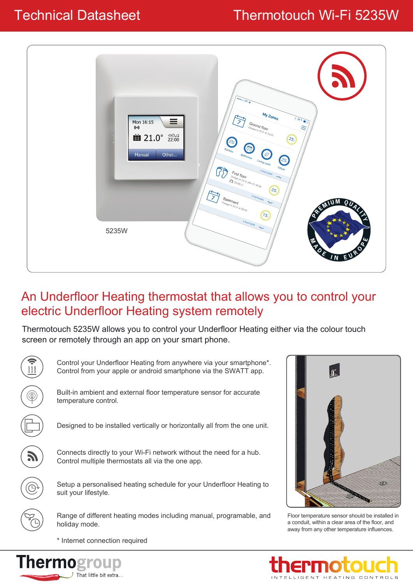# Technical Datasheet Thermotouch Wi-Fi 5235W



### An Underfloor Heating thermostat that allows you to control your electric Underfloor Heating system remotely

Thermotouch 5235W allows you to control your Underfloor Heating either via the colour touch screen or remotely through an app on your smart phone.





Floor temperature sensor should be installed in a conduit, within a clear area of the floor, and away from any other temperature influences.